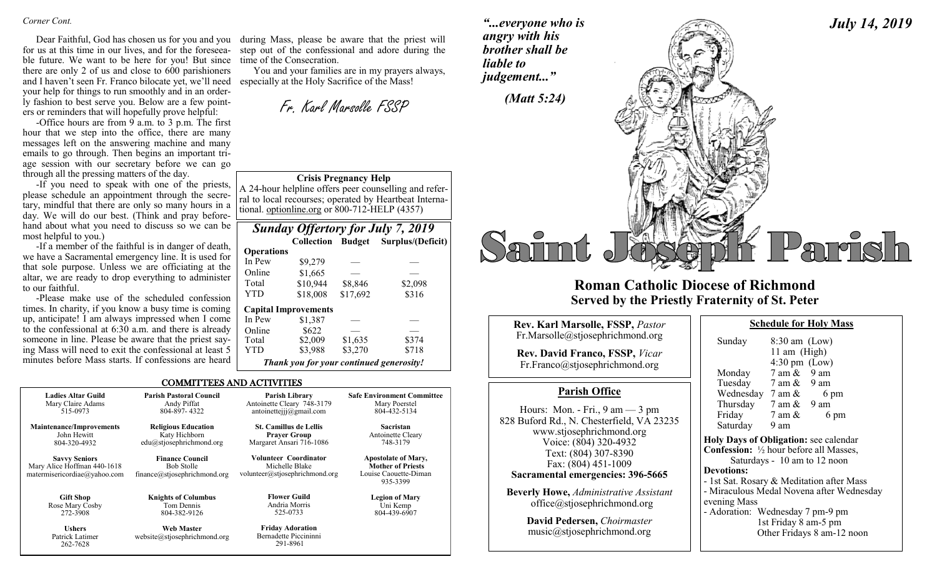Dear Faithful, God has chosen us for you and you for us at this time in our lives, and for the foreseeable future. We want to be here for you! But since there are only 2 of us and close to 600 parishioners and I haven't seen Fr. Franco bilocate yet, we'll need your help for things to run smoothly and in an orderly fashion to best serve you. Below are a few pointers or reminders that will hopefully prove helpful:

-Office hours are from 9 a.m. to 3 p.m. The first hour that we step into the office, there are many messages left on the answering machine and many emails to go through. Then begins an important triage session with our secretary before we can go through all the pressing matters of the day.

-If you need to speak with one of the priests, please schedule an appointment through the secretary, mindful that there are only so many hours in a day. We will do our best. (Think and pray beforehand about what you need to discuss so we can be most helpful to you.)

-If a member of the faithful is in danger of death, we have a Sacramental emergency line. It is used for that sole purpose. Unless we are officiating at the altar, we are ready to drop everything to administer to our faithful.

-Please make use of the scheduled confession times. In charity, if you know a busy time is coming up, anticipate! I am always impressed when I come to the confessional at 6:30 a.m. and there is already someone in line. Please be aware that the priest saying Mass will need to exit the confessional at least 5 minutes before Mass starts. If confessions are heard

during Mass, please be aware that the priest will step out of the confessional and adore during the time of the Consecration.

You and your families are in my prayers always, especially at the Holy Sacrifice of the Mass!

Fr. Karl Marsolle FSSP

**Crisis Pregnancy Help**

A 24-hour helpline offers peer counselling and referral to local recourses; operated by Heartbeat International. optionline.org or 800-712-HELP (4357)

|                   |                             | <b>Sunday Offertory for July 7, 2019</b><br>Collection Budget Surplus/(Deficit)<br>\$2,098<br>\$8,846<br>\$17,692<br>\$316 |       |
|-------------------|-----------------------------|----------------------------------------------------------------------------------------------------------------------------|-------|
|                   |                             |                                                                                                                            |       |
| <b>Operations</b> |                             |                                                                                                                            |       |
| In Pew            | \$9,279                     |                                                                                                                            |       |
| Online            | \$1,665                     |                                                                                                                            |       |
| Total             | \$10,944                    |                                                                                                                            |       |
| YTD               | \$18,008                    |                                                                                                                            |       |
|                   | <b>Capital Improvements</b> |                                                                                                                            |       |
| In Pew            | \$1,387                     |                                                                                                                            |       |
| Online            | \$622                       |                                                                                                                            |       |
| Total             | \$2,009                     | \$1.635                                                                                                                    | \$374 |
|                   |                             |                                                                                                                            |       |

YTD \$3,988 \$3,270 \$718 *Thank you for your continued generosity!*

COMMITTEES AND ACTIVITIES

| <b>Ladies Altar Guild</b>                                                           | <b>Parish Pastoral Council</b>                                              | Parish Library                                                            | <b>Safe Environment Committee</b>                                                           |
|-------------------------------------------------------------------------------------|-----------------------------------------------------------------------------|---------------------------------------------------------------------------|---------------------------------------------------------------------------------------------|
| Mary Claire Adams                                                                   | Andy Piffat                                                                 | Antoinette Cleary 748-3179                                                | Mary Poerstel                                                                               |
| 515-0973                                                                            | 804-897-4322                                                                | antoinettejjj $@g$ mail.com                                               | 804-432-5134                                                                                |
| <b>Maintenance/Improvements</b>                                                     | <b>Religious Education</b>                                                  | <b>St. Camillus de Lellis</b>                                             | <b>Sacristan</b>                                                                            |
| John Hewitt                                                                         | Katy Hichborn                                                               | <b>Prayer Group</b>                                                       | Antoinette Cleary                                                                           |
| 804-320-4932                                                                        | $edu(a)$ stjosephrichmond.org                                               | Margaret Ansari 716-1086                                                  | 748-3179                                                                                    |
| <b>Savvy Seniors</b><br>Mary Alice Hoffman 440-1618<br>matermisericordiae@yahoo.com | <b>Finance Council</b><br><b>Bob Stolle</b><br>finance@stjosephrichmond.org | Volunteer Coordinator<br>Michelle Blake<br>volunteer@stjosephrichmond.org | <b>Apostolate of Mary,</b><br><b>Mother of Priests</b><br>Louise Caouette-Diman<br>935-3399 |
| <b>Gift Shop</b>                                                                    | <b>Knights of Columbus</b>                                                  | <b>Flower Guild</b>                                                       | <b>Legion of Mary</b>                                                                       |
| Rose Mary Cosby                                                                     | Tom Dennis                                                                  | Andria Morris                                                             | Uni Kemp                                                                                    |
| 272-3908                                                                            | 804-382-9126                                                                | 525-0733                                                                  | 804-439-6907                                                                                |
| <b>Ushers</b><br>Patrick Latimer<br>262-7628                                        | Web Master<br>website@stjosephrichmond.org                                  | <b>Friday Adoration</b><br>Bernadette Piccininni<br>291-8961              |                                                                                             |

*"...everyone who is angry with his brother shall be liable to judgement..."*



## **Roman Catholic Diocese of Richmond Served by the Priestly Fraternity of St. Peter**

| Rev. Karl Marsolle, FSSP, Pastor<br>Fr.Marsolle@stjosephrichmond.org<br><b>Rev. David Franco, FSSP, Vicar</b><br>Fr.Franco@stjosephrichmond.org                                                                                                                                                                         | Sunda<br>Monda                                                                                                                                 |
|-------------------------------------------------------------------------------------------------------------------------------------------------------------------------------------------------------------------------------------------------------------------------------------------------------------------------|------------------------------------------------------------------------------------------------------------------------------------------------|
| <b>Parish Office</b>                                                                                                                                                                                                                                                                                                    | Tuesda<br>Wedne                                                                                                                                |
| Hours: Mon. - Fri., $9 \text{ am} - 3 \text{ pm}$<br>828 Buford Rd., N. Chesterfield, VA 23235<br>www.stjosephrichmond.org<br>Voice: (804) 320-4932<br>Text: (804) 307-8390<br>Fax: (804) 451-1009<br>Sacramental emergencies: 396-5665<br><b>Beverly Howe, Administrative Assistant</b><br>office@stjosephrichmond.org | Thursd<br>Friday<br>Saturd<br><b>Holy Day</b><br>Confessio<br>Sat<br><b>Devotions</b><br>- 1st Sat. I<br>- Miraculo<br>evening M<br>- Adoratio |
| David Pedersen, Choirmaster<br>music@stjosephrichmond.org                                                                                                                                                                                                                                                               |                                                                                                                                                |

| Sunday                                                                                  | $8:30$ am $(Low)$<br>11 am (High)<br>$4:30 \text{ pm}$ (Low) |                                           |
|-----------------------------------------------------------------------------------------|--------------------------------------------------------------|-------------------------------------------|
| Monday                                                                                  | $7$ am $\&$ 9 am                                             |                                           |
| Tuesday 7 am & 9 am                                                                     |                                                              |                                           |
| Wednesday $7 \text{ am } \&$                                                            |                                                              | 6 pm                                      |
| Thursday 7 am & 9 am                                                                    |                                                              |                                           |
| Friday                                                                                  | $7 \text{ am } \&$                                           | 6 pm                                      |
| Saturday                                                                                | 9 am                                                         |                                           |
| Holy Days of Obligation: see calendar<br><b>Confession:</b> 1/2 hour before all Masses, |                                                              |                                           |
|                                                                                         |                                                              | Saturdays - 10 am to 12 noon              |
| <b>Devotions:</b>                                                                       |                                                              |                                           |
| - 1st Sat. Rosary & Meditation after Mass                                               |                                                              |                                           |
|                                                                                         |                                                              | - Miraculous Medal Novena after Wednesday |
| evening Mass                                                                            |                                                              |                                           |
| - Adoration: Wednesday 7 pm-9 pm                                                        |                                                              |                                           |
|                                                                                         | 1st Friday 8 am-5 pm                                         |                                           |
|                                                                                         |                                                              | Other Fridays 8 am-12 noon                |

**Schedule for Holy Mass**